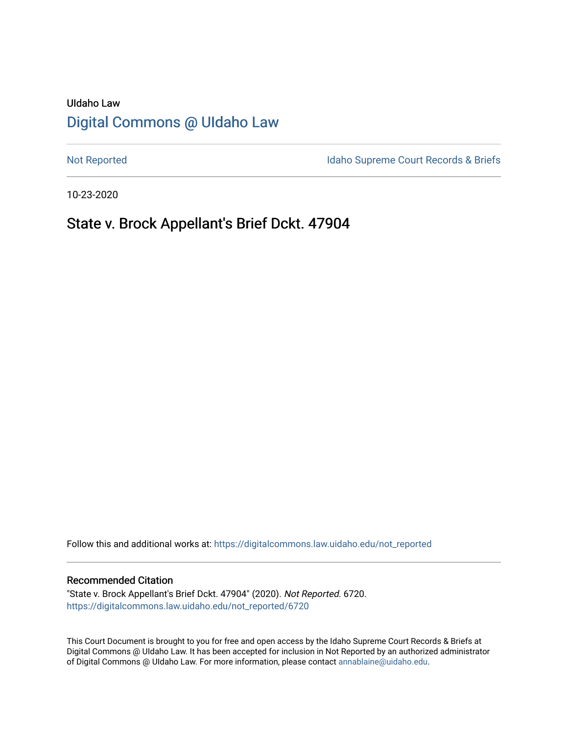# UIdaho Law [Digital Commons @ UIdaho Law](https://digitalcommons.law.uidaho.edu/)

[Not Reported](https://digitalcommons.law.uidaho.edu/not_reported) **Idaho Supreme Court Records & Briefs** 

10-23-2020

# State v. Brock Appellant's Brief Dckt. 47904

Follow this and additional works at: [https://digitalcommons.law.uidaho.edu/not\\_reported](https://digitalcommons.law.uidaho.edu/not_reported?utm_source=digitalcommons.law.uidaho.edu%2Fnot_reported%2F6720&utm_medium=PDF&utm_campaign=PDFCoverPages) 

#### Recommended Citation

"State v. Brock Appellant's Brief Dckt. 47904" (2020). Not Reported. 6720. [https://digitalcommons.law.uidaho.edu/not\\_reported/6720](https://digitalcommons.law.uidaho.edu/not_reported/6720?utm_source=digitalcommons.law.uidaho.edu%2Fnot_reported%2F6720&utm_medium=PDF&utm_campaign=PDFCoverPages)

This Court Document is brought to you for free and open access by the Idaho Supreme Court Records & Briefs at Digital Commons @ UIdaho Law. It has been accepted for inclusion in Not Reported by an authorized administrator of Digital Commons @ UIdaho Law. For more information, please contact [annablaine@uidaho.edu](mailto:annablaine@uidaho.edu).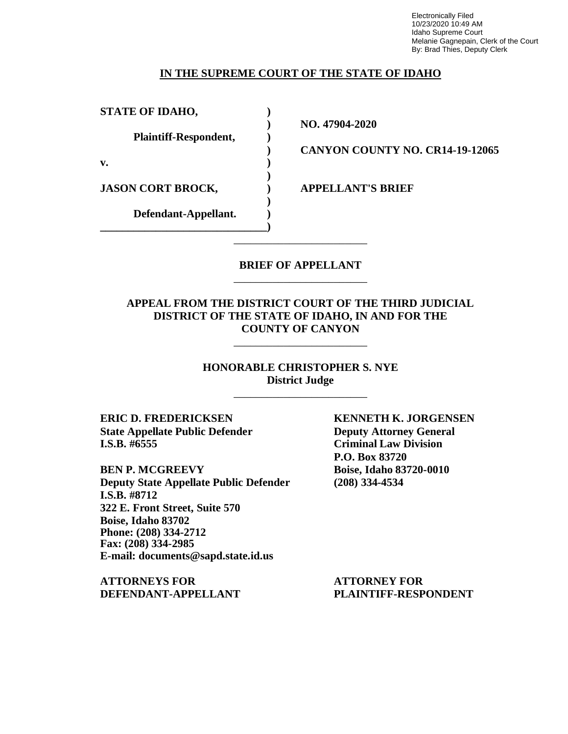Electronically Filed 10/23/2020 10:49 AM Idaho Supreme Court Melanie Gagnepain, Clerk of the Court By: Brad Thies, Deputy Clerk

### **IN THE SUPREME COURT OF THE STATE OF IDAHO**

**STATE OF IDAHO, )**

**Plaintiff-Respondent, )**

**v. )**

**JASON CORT BROCK, ) APPELLANT'S BRIEF**

**Defendant-Appellant. ) \_\_\_\_\_\_\_\_\_\_\_\_\_\_\_\_\_\_\_\_\_\_\_\_\_\_\_\_\_\_)**

**) NO. 47904-2020**

**) CANYON COUNTY NO. CR14-19-12065**

### **BRIEF OF APPELLANT** \_\_\_\_\_\_\_\_\_\_\_\_\_\_\_\_\_\_\_\_\_\_\_\_

\_\_\_\_\_\_\_\_\_\_\_\_\_\_\_\_\_\_\_\_\_\_\_\_

**)**

**)**

## **APPEAL FROM THE DISTRICT COURT OF THE THIRD JUDICIAL DISTRICT OF THE STATE OF IDAHO, IN AND FOR THE COUNTY OF CANYON**

\_\_\_\_\_\_\_\_\_\_\_\_\_\_\_\_\_\_\_\_\_\_\_\_

**HONORABLE CHRISTOPHER S. NYE District Judge**

\_\_\_\_\_\_\_\_\_\_\_\_\_\_\_\_\_\_\_\_\_\_\_\_

**ERIC D. FREDERICKSEN KENNETH K. JORGENSEN State Appellate Public Defender Deputy Attorney General I.S.B. #6555 Criminal Law Division**

**BEN P. MCGREEVY Boise, Idaho 83720-0010 Deputy State Appellate Public Defender (208) 334-4534 I.S.B. #8712 322 E. Front Street, Suite 570 Boise, Idaho 83702 Phone: (208) 334-2712 Fax: (208) 334-2985 E-mail: documents@sapd.state.id.us**

**ATTORNEYS FOR ATTORNEY FOR DEFENDANT-APPELLANT PLAINTIFF-RESPONDENT**

**P.O. Box 83720**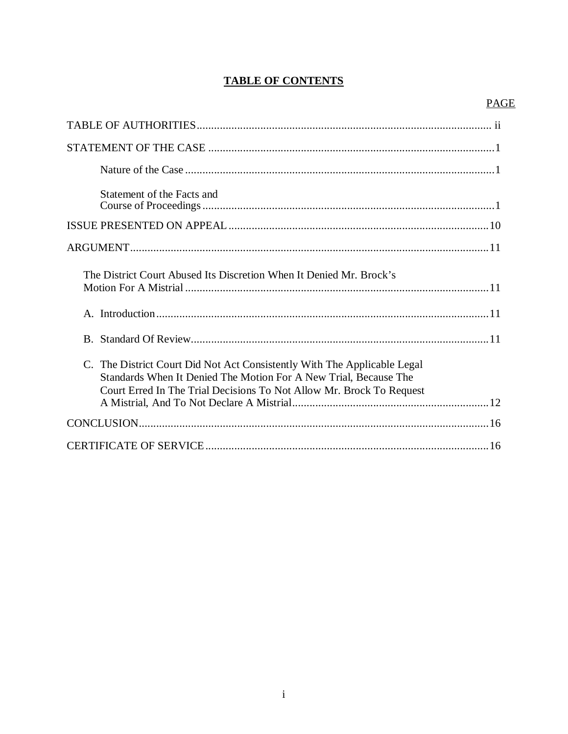## **TABLE OF CONTENTS**

## **PAGE**

| Statement of the Facts and                                                                                                                                                                                           |
|----------------------------------------------------------------------------------------------------------------------------------------------------------------------------------------------------------------------|
|                                                                                                                                                                                                                      |
|                                                                                                                                                                                                                      |
| The District Court Abused Its Discretion When It Denied Mr. Brock's                                                                                                                                                  |
|                                                                                                                                                                                                                      |
|                                                                                                                                                                                                                      |
| C. The District Court Did Not Act Consistently With The Applicable Legal<br>Standards When It Denied The Motion For A New Trial, Because The<br>Court Erred In The Trial Decisions To Not Allow Mr. Brock To Request |
|                                                                                                                                                                                                                      |
|                                                                                                                                                                                                                      |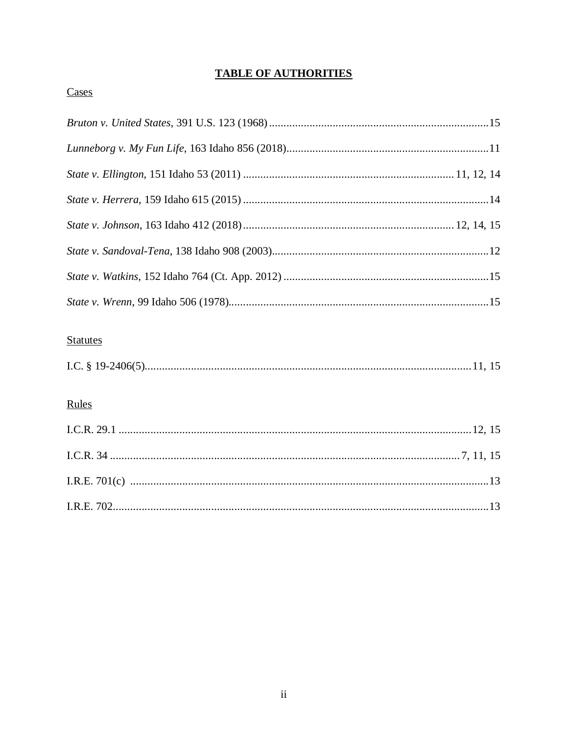## **TABLE OF AUTHORITIES**

## Cases

## **Statutes**

|--|--|

## Rules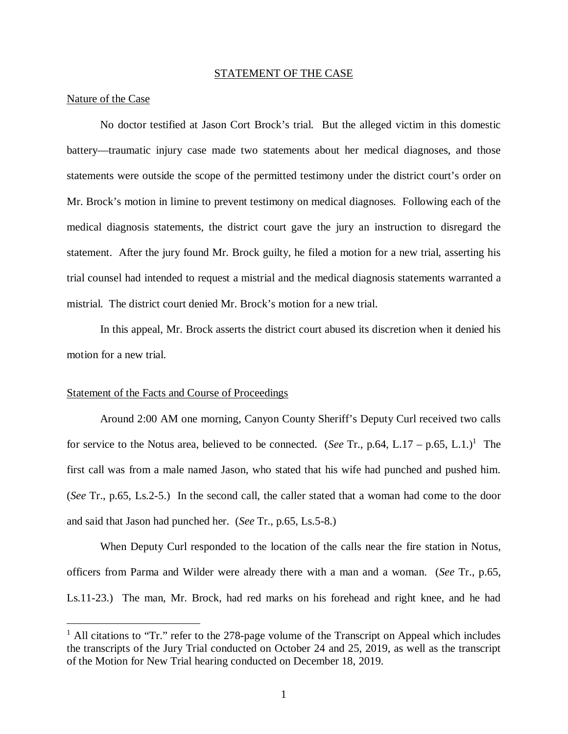#### STATEMENT OF THE CASE

#### Nature of the Case

No doctor testified at Jason Cort Brock's trial. But the alleged victim in this domestic battery—traumatic injury case made two statements about her medical diagnoses, and those statements were outside the scope of the permitted testimony under the district court's order on Mr. Brock's motion in limine to prevent testimony on medical diagnoses. Following each of the medical diagnosis statements, the district court gave the jury an instruction to disregard the statement. After the jury found Mr. Brock guilty, he filed a motion for a new trial, asserting his trial counsel had intended to request a mistrial and the medical diagnosis statements warranted a mistrial. The district court denied Mr. Brock's motion for a new trial.

In this appeal, Mr. Brock asserts the district court abused its discretion when it denied his motion for a new trial.

#### Statement of the Facts and Course of Proceedings

Around 2:00 AM one morning, Canyon County Sheriff's Deputy Curl received two calls for service to the Notus area, believed to be connected. (*See* Tr., p.64, L.17 – p.65, L.1.)<sup>1</sup> The first call was from a male named Jason, who stated that his wife had punched and pushe[d](#page-4-0) him. (*See* Tr., p.65, Ls.2-5.) In the second call, the caller stated that a woman had come to the door and said that Jason had punched her. (*See* Tr., p.65, Ls.5-8.)

When Deputy Curl responded to the location of the calls near the fire station in Notus, officers from Parma and Wilder were already there with a man and a woman. (*See* Tr., p.65, Ls.11-23.) The man, Mr. Brock, had red marks on his forehead and right knee, and he had

<span id="page-4-0"></span><sup>&</sup>lt;sup>1</sup> All citations to "Tr." refer to the 278-page volume of the Transcript on Appeal which includes the transcripts of the Jury Trial conducted on October 24 and 25, 2019, as well as the transcript of the Motion for New Trial hearing conducted on December 18, 2019.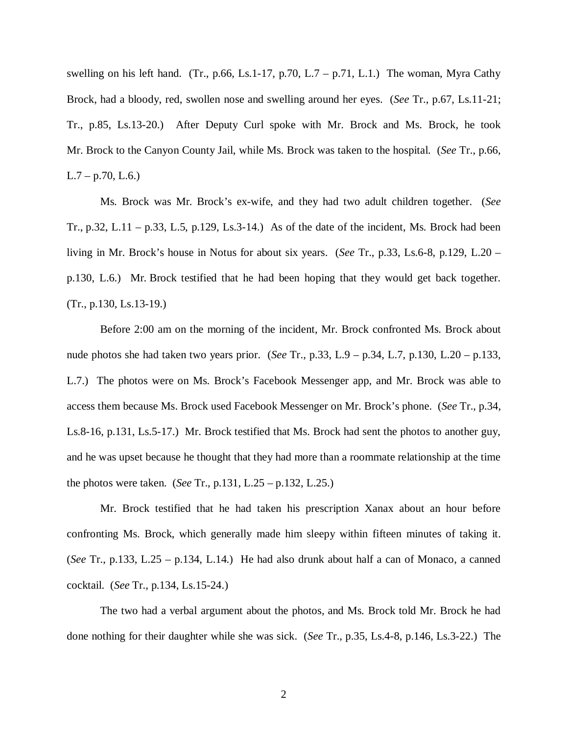swelling on his left hand. (Tr., p.66, Ls.1-17, p.70, L.7 – p.71, L.1.) The woman, Myra Cathy Brock, had a bloody, red, swollen nose and swelling around her eyes. (*See* Tr., p.67, Ls.11-21; Tr., p.85, Ls.13-20.) After Deputy Curl spoke with Mr. Brock and Ms. Brock, he took Mr. Brock to the Canyon County Jail, while Ms. Brock was taken to the hospital. (*See* Tr., p.66,  $L.7 - p.70, L.6$ .

Ms. Brock was Mr. Brock's ex-wife, and they had two adult children together. (*See* Tr., p.32, L.11 – p.33, L.5, p.129, Ls.3-14.) As of the date of the incident, Ms. Brock had been living in Mr. Brock's house in Notus for about six years. (*See* Tr., p.33, Ls.6-8, p.129, L.20 – p.130, L.6.) Mr. Brock testified that he had been hoping that they would get back together. (Tr., p.130, Ls.13-19.)

Before 2:00 am on the morning of the incident, Mr. Brock confronted Ms. Brock about nude photos she had taken two years prior. (*See* Tr., p.33, L.9 – p.34, L.7, p.130, L.20 – p.133, L.7.) The photos were on Ms. Brock's Facebook Messenger app, and Mr. Brock was able to access them because Ms. Brock used Facebook Messenger on Mr. Brock's phone. (*See* Tr., p.34, Ls.8-16, p.131, Ls.5-17.) Mr. Brock testified that Ms. Brock had sent the photos to another guy, and he was upset because he thought that they had more than a roommate relationship at the time the photos were taken. (*See* Tr., p.131, L.25 – p.132, L.25.)

Mr. Brock testified that he had taken his prescription Xanax about an hour before confronting Ms. Brock, which generally made him sleepy within fifteen minutes of taking it. (*See* Tr., p.133, L.25 – p.134, L.14.) He had also drunk about half a can of Monaco, a canned cocktail. (*See* Tr., p.134, Ls.15-24.)

The two had a verbal argument about the photos, and Ms. Brock told Mr. Brock he had done nothing for their daughter while she was sick. (*See* Tr., p.35, Ls.4-8, p.146, Ls.3-22.) The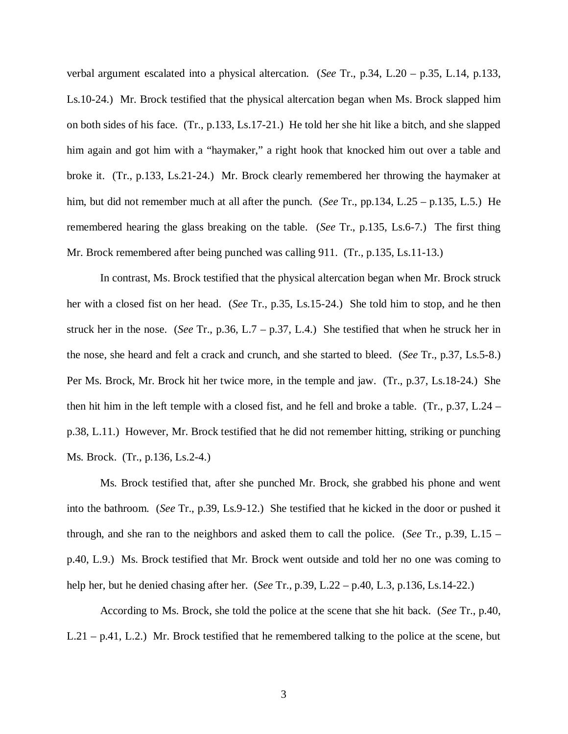verbal argument escalated into a physical altercation. (*See* Tr., p.34, L.20 – p.35, L.14, p.133, Ls.10-24.) Mr. Brock testified that the physical altercation began when Ms. Brock slapped him on both sides of his face. (Tr., p.133, Ls.17-21.) He told her she hit like a bitch, and she slapped him again and got him with a "haymaker," a right hook that knocked him out over a table and broke it. (Tr., p.133, Ls.21-24.) Mr. Brock clearly remembered her throwing the haymaker at him, but did not remember much at all after the punch. (*See* Tr., pp.134, L.25 – p.135, L.5.) He remembered hearing the glass breaking on the table. (*See* Tr., p.135, Ls.6-7.) The first thing Mr. Brock remembered after being punched was calling 911. (Tr., p.135, Ls.11-13.)

In contrast, Ms. Brock testified that the physical altercation began when Mr. Brock struck her with a closed fist on her head. (*See* Tr., p.35, Ls.15-24.) She told him to stop, and he then struck her in the nose. (*See* Tr., p.36, L.7 – p.37, L.4.) She testified that when he struck her in the nose, she heard and felt a crack and crunch, and she started to bleed. (*See* Tr., p.37, Ls.5-8.) Per Ms. Brock, Mr. Brock hit her twice more, in the temple and jaw. (Tr., p.37, Ls.18-24.) She then hit him in the left temple with a closed fist, and he fell and broke a table. (Tr., p.37, L.24 – p.38, L.11.) However, Mr. Brock testified that he did not remember hitting, striking or punching Ms. Brock. (Tr., p.136, Ls.2-4.)

Ms. Brock testified that, after she punched Mr. Brock, she grabbed his phone and went into the bathroom. (*See* Tr., p.39, Ls.9-12.) She testified that he kicked in the door or pushed it through, and she ran to the neighbors and asked them to call the police. (*See* Tr., p.39, L.15 – p.40, L.9.) Ms. Brock testified that Mr. Brock went outside and told her no one was coming to help her, but he denied chasing after her. (*See* Tr., p.39, L.22 – p.40, L.3, p.136, Ls.14-22.)

According to Ms. Brock, she told the police at the scene that she hit back. (*See* Tr., p.40, L.21 – p.41, L.2.) Mr. Brock testified that he remembered talking to the police at the scene, but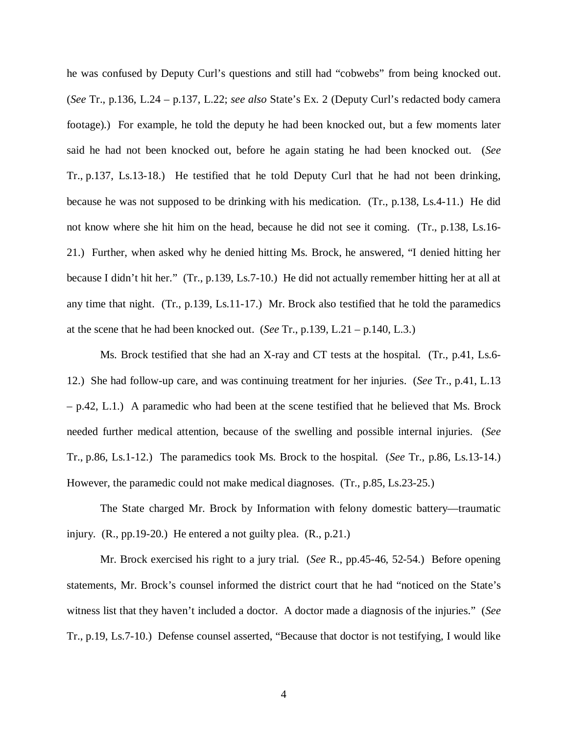he was confused by Deputy Curl's questions and still had "cobwebs" from being knocked out. (*See* Tr., p.136, L.24 – p.137, L.22; *see also* State's Ex. 2 (Deputy Curl's redacted body camera footage).) For example, he told the deputy he had been knocked out, but a few moments later said he had not been knocked out, before he again stating he had been knocked out. (*See* Tr., p.137, Ls.13-18.) He testified that he told Deputy Curl that he had not been drinking, because he was not supposed to be drinking with his medication. (Tr., p.138, Ls.4-11.) He did not know where she hit him on the head, because he did not see it coming. (Tr., p.138, Ls.16- 21.) Further, when asked why he denied hitting Ms. Brock, he answered, "I denied hitting her because I didn't hit her." (Tr., p.139, Ls.7-10.) He did not actually remember hitting her at all at any time that night. (Tr., p.139, Ls.11-17.) Mr. Brock also testified that he told the paramedics at the scene that he had been knocked out. (*See* Tr., p.139, L.21 – p.140, L.3.)

Ms. Brock testified that she had an X-ray and CT tests at the hospital. (Tr., p.41, Ls.6- 12.) She had follow-up care, and was continuing treatment for her injuries. (*See* Tr., p.41, L.13  $-$  p.42, L.1.) A paramedic who had been at the scene testified that he believed that Ms. Brock needed further medical attention, because of the swelling and possible internal injuries. (*See* Tr., p.86, Ls.1-12.) The paramedics took Ms. Brock to the hospital. (*See* Tr., p.86, Ls.13-14.) However, the paramedic could not make medical diagnoses. (Tr., p.85, Ls.23-25.)

The State charged Mr. Brock by Information with felony domestic battery—traumatic injury. (R., pp.19-20.) He entered a not guilty plea. (R., p.21.)

Mr. Brock exercised his right to a jury trial. (*See* R., pp.45-46, 52-54.) Before opening statements, Mr. Brock's counsel informed the district court that he had "noticed on the State's witness list that they haven't included a doctor. A doctor made a diagnosis of the injuries." (*See* Tr., p.19, Ls.7-10.) Defense counsel asserted, "Because that doctor is not testifying, I would like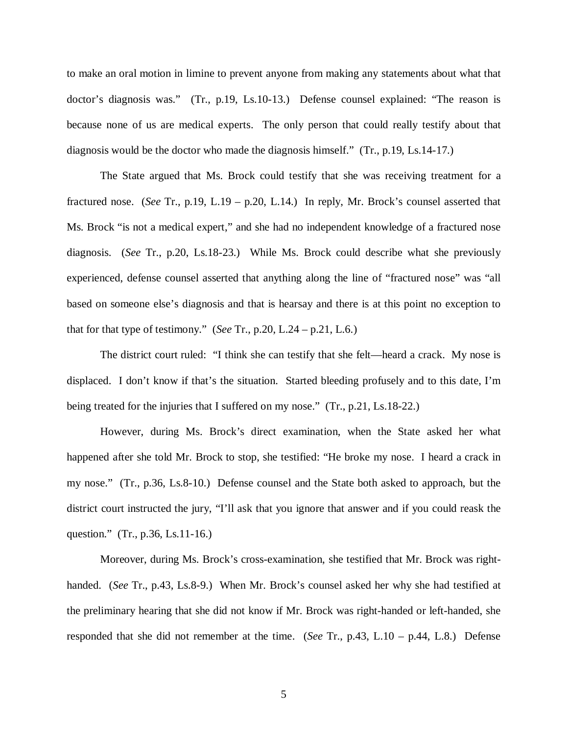to make an oral motion in limine to prevent anyone from making any statements about what that doctor's diagnosis was." (Tr., p.19, Ls.10-13.) Defense counsel explained: "The reason is because none of us are medical experts. The only person that could really testify about that diagnosis would be the doctor who made the diagnosis himself." (Tr., p.19, Ls.14-17.)

The State argued that Ms. Brock could testify that she was receiving treatment for a fractured nose. (*See* Tr., p.19, L.19 – p.20, L.14.) In reply, Mr. Brock's counsel asserted that Ms. Brock "is not a medical expert," and she had no independent knowledge of a fractured nose diagnosis. (*See* Tr., p.20, Ls.18-23.) While Ms. Brock could describe what she previously experienced, defense counsel asserted that anything along the line of "fractured nose" was "all based on someone else's diagnosis and that is hearsay and there is at this point no exception to that for that type of testimony." (*See* Tr., p.20, L.24 – p.21, L.6.)

The district court ruled: "I think she can testify that she felt—heard a crack. My nose is displaced. I don't know if that's the situation. Started bleeding profusely and to this date, I'm being treated for the injuries that I suffered on my nose." (Tr., p.21, Ls.18-22.)

However, during Ms. Brock's direct examination, when the State asked her what happened after she told Mr. Brock to stop, she testified: "He broke my nose. I heard a crack in my nose." (Tr., p.36, Ls.8-10.) Defense counsel and the State both asked to approach, but the district court instructed the jury, "I'll ask that you ignore that answer and if you could reask the question." (Tr., p.36, Ls.11-16.)

Moreover, during Ms. Brock's cross-examination, she testified that Mr. Brock was righthanded. (*See* Tr., p.43, Ls.8-9.) When Mr. Brock's counsel asked her why she had testified at the preliminary hearing that she did not know if Mr. Brock was right-handed or left-handed, she responded that she did not remember at the time. (*See* Tr., p.43, L.10 – p.44, L.8.) Defense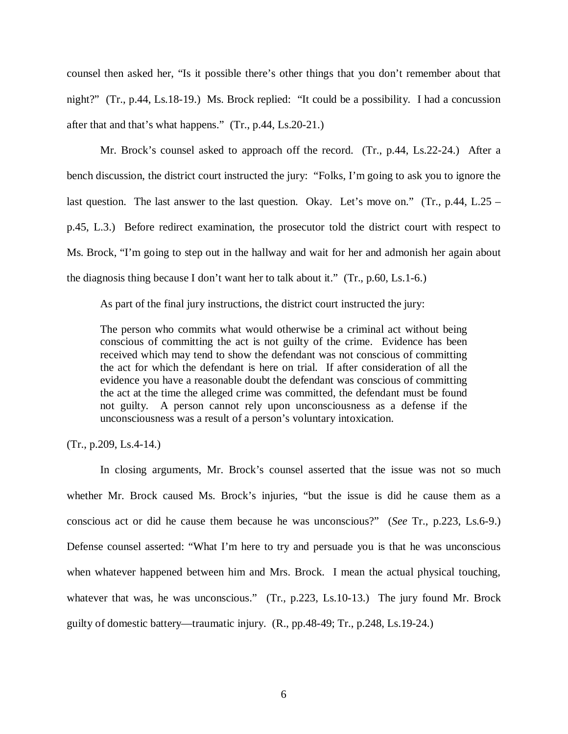counsel then asked her, "Is it possible there's other things that you don't remember about that night?" (Tr., p.44, Ls.18-19.) Ms. Brock replied: "It could be a possibility. I had a concussion after that and that's what happens." (Tr., p.44, Ls.20-21.)

Mr. Brock's counsel asked to approach off the record. (Tr., p.44, Ls.22-24.) After a bench discussion, the district court instructed the jury: "Folks, I'm going to ask you to ignore the last question. The last answer to the last question. Okay. Let's move on." (Tr., p.44, L.25 – p.45, L.3.) Before redirect examination, the prosecutor told the district court with respect to Ms. Brock, "I'm going to step out in the hallway and wait for her and admonish her again about the diagnosis thing because I don't want her to talk about it." (Tr., p.60, Ls.1-6.)

As part of the final jury instructions, the district court instructed the jury:

The person who commits what would otherwise be a criminal act without being conscious of committing the act is not guilty of the crime. Evidence has been received which may tend to show the defendant was not conscious of committing the act for which the defendant is here on trial. If after consideration of all the evidence you have a reasonable doubt the defendant was conscious of committing the act at the time the alleged crime was committed, the defendant must be found not guilty. A person cannot rely upon unconsciousness as a defense if the unconsciousness was a result of a person's voluntary intoxication.

(Tr., p.209, Ls.4-14.)

In closing arguments, Mr. Brock's counsel asserted that the issue was not so much whether Mr. Brock caused Ms. Brock's injuries, "but the issue is did he cause them as a conscious act or did he cause them because he was unconscious?" (*See* Tr., p.223, Ls.6-9.) Defense counsel asserted: "What I'm here to try and persuade you is that he was unconscious when whatever happened between him and Mrs. Brock. I mean the actual physical touching, whatever that was, he was unconscious." (Tr., p.223, Ls.10-13.) The jury found Mr. Brock guilty of domestic battery—traumatic injury. (R., pp.48-49; Tr., p.248, Ls.19-24.)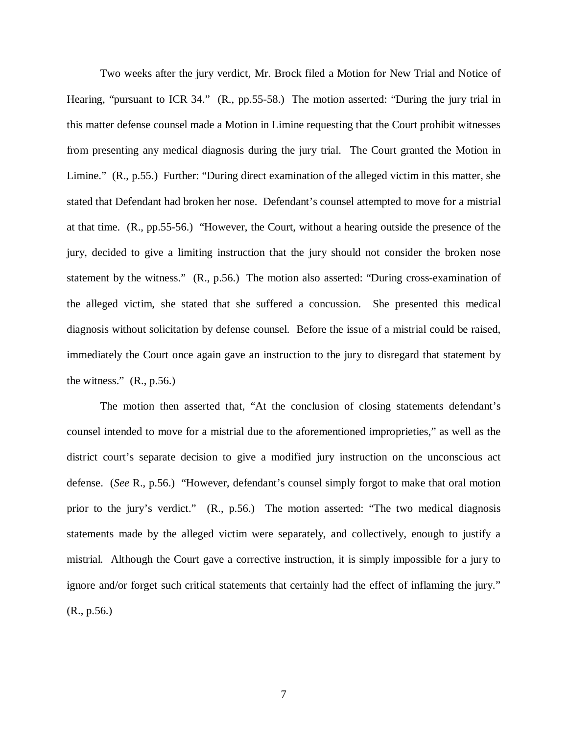Two weeks after the jury verdict, Mr. Brock filed a Motion for New Trial and Notice of Hearing, "pursuant to ICR 34." (R., pp.55-58.) The motion asserted: "During the jury trial in this matter defense counsel made a Motion in Limine requesting that the Court prohibit witnesses from presenting any medical diagnosis during the jury trial. The Court granted the Motion in Limine." (R., p.55.) Further: "During direct examination of the alleged victim in this matter, she stated that Defendant had broken her nose. Defendant's counsel attempted to move for a mistrial at that time. (R., pp.55-56.) "However, the Court, without a hearing outside the presence of the jury, decided to give a limiting instruction that the jury should not consider the broken nose statement by the witness." (R., p.56.) The motion also asserted: "During cross-examination of the alleged victim, she stated that she suffered a concussion. She presented this medical diagnosis without solicitation by defense counsel. Before the issue of a mistrial could be raised, immediately the Court once again gave an instruction to the jury to disregard that statement by the witness."  $(R., p.56.)$ 

The motion then asserted that, "At the conclusion of closing statements defendant's counsel intended to move for a mistrial due to the aforementioned improprieties," as well as the district court's separate decision to give a modified jury instruction on the unconscious act defense. (*See* R., p.56.) "However, defendant's counsel simply forgot to make that oral motion prior to the jury's verdict." (R., p.56.) The motion asserted: "The two medical diagnosis statements made by the alleged victim were separately, and collectively, enough to justify a mistrial. Although the Court gave a corrective instruction, it is simply impossible for a jury to ignore and/or forget such critical statements that certainly had the effect of inflaming the jury." (R., p.56.)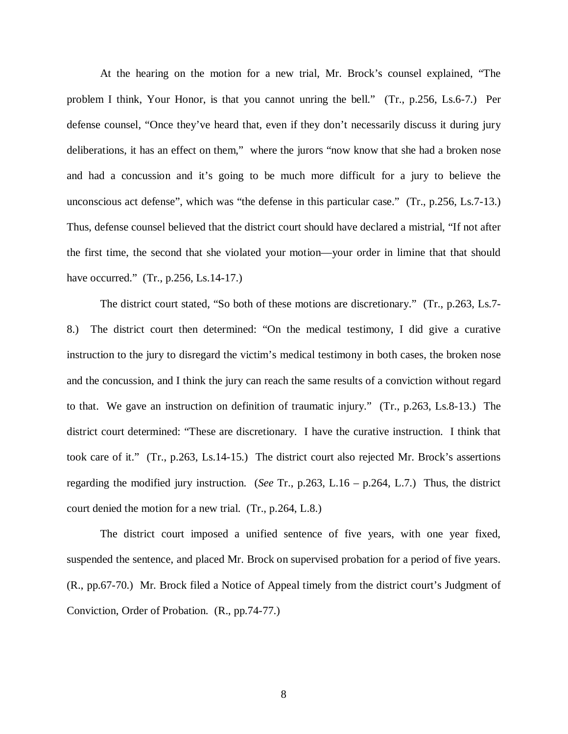At the hearing on the motion for a new trial, Mr. Brock's counsel explained, "The problem I think, Your Honor, is that you cannot unring the bell." (Tr., p.256, Ls.6-7.) Per defense counsel, "Once they've heard that, even if they don't necessarily discuss it during jury deliberations, it has an effect on them," where the jurors "now know that she had a broken nose and had a concussion and it's going to be much more difficult for a jury to believe the unconscious act defense", which was "the defense in this particular case." (Tr., p.256, Ls.7-13.) Thus, defense counsel believed that the district court should have declared a mistrial, "If not after the first time, the second that she violated your motion—your order in limine that that should have occurred." (Tr., p.256, Ls.14-17.)

The district court stated, "So both of these motions are discretionary." (Tr., p.263, Ls.7- 8.) The district court then determined: "On the medical testimony, I did give a curative instruction to the jury to disregard the victim's medical testimony in both cases, the broken nose and the concussion, and I think the jury can reach the same results of a conviction without regard to that. We gave an instruction on definition of traumatic injury." (Tr., p.263, Ls.8-13.) The district court determined: "These are discretionary. I have the curative instruction. I think that took care of it." (Tr., p.263, Ls.14-15.) The district court also rejected Mr. Brock's assertions regarding the modified jury instruction. (*See* Tr., p.263, L.16 – p.264, L.7.) Thus, the district court denied the motion for a new trial. (Tr., p.264, L.8.)

The district court imposed a unified sentence of five years, with one year fixed, suspended the sentence, and placed Mr. Brock on supervised probation for a period of five years. (R., pp.67-70.) Mr. Brock filed a Notice of Appeal timely from the district court's Judgment of Conviction, Order of Probation. (R., pp.74-77.)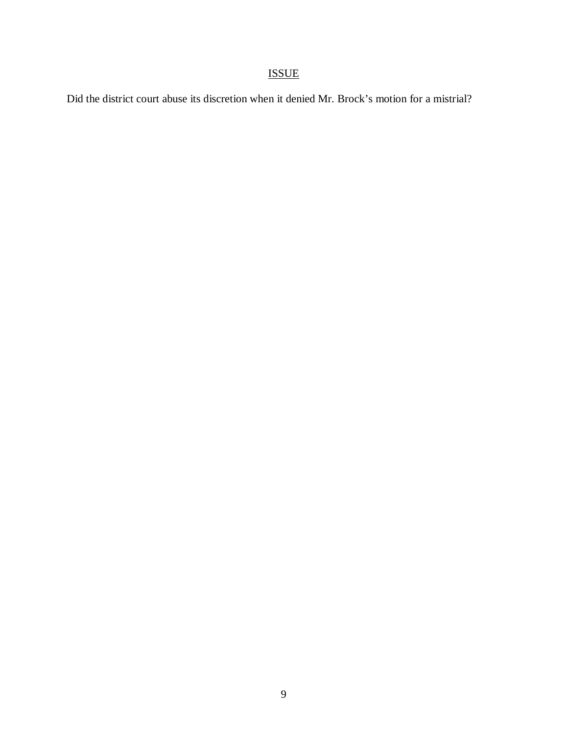# ISSUE

Did the district court abuse its discretion when it denied Mr. Brock's motion for a mistrial?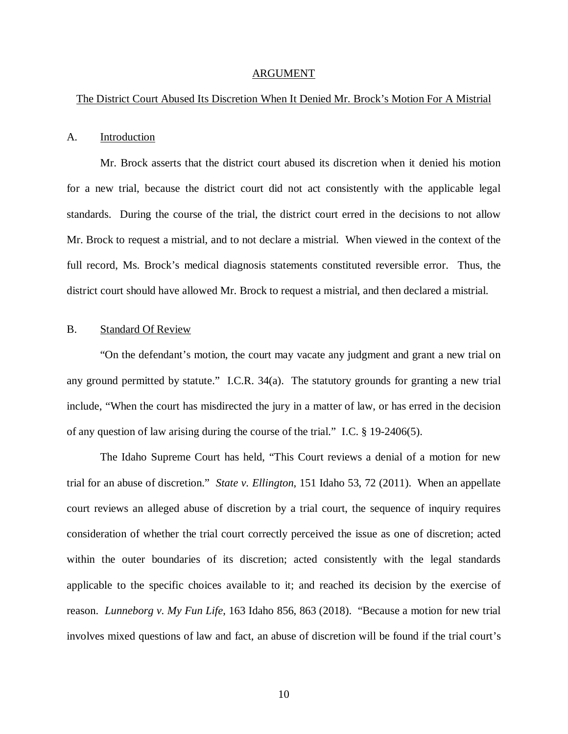#### ARGUMENT

### The District Court Abused Its Discretion When It Denied Mr. Brock's Motion For A Mistrial

#### A. Introduction

Mr. Brock asserts that the district court abused its discretion when it denied his motion for a new trial, because the district court did not act consistently with the applicable legal standards. During the course of the trial, the district court erred in the decisions to not allow Mr. Brock to request a mistrial, and to not declare a mistrial. When viewed in the context of the full record, Ms. Brock's medical diagnosis statements constituted reversible error. Thus, the district court should have allowed Mr. Brock to request a mistrial, and then declared a mistrial.

#### B. Standard Of Review

"On the defendant's motion, the court may vacate any judgment and grant a new trial on any ground permitted by statute." I.C.R. 34(a). The statutory grounds for granting a new trial include, "When the court has misdirected the jury in a matter of law, or has erred in the decision of any question of law arising during the course of the trial." I.C. § 19-2406(5).

The Idaho Supreme Court has held, "This Court reviews a denial of a motion for new trial for an abuse of discretion." *State v. Ellington*, 151 Idaho 53, 72 (2011). When an appellate court reviews an alleged abuse of discretion by a trial court, the sequence of inquiry requires consideration of whether the trial court correctly perceived the issue as one of discretion; acted within the outer boundaries of its discretion; acted consistently with the legal standards applicable to the specific choices available to it; and reached its decision by the exercise of reason. *Lunneborg v. My Fun Life*, 163 Idaho 856, 863 (2018). "Because a motion for new trial involves mixed questions of law and fact, an abuse of discretion will be found if the trial court's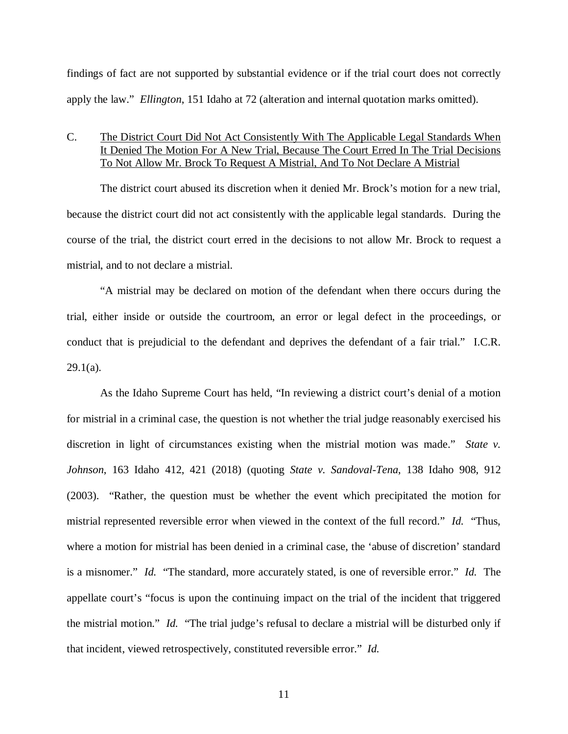findings of fact are not supported by substantial evidence or if the trial court does not correctly apply the law." *Ellington*, 151 Idaho at 72 (alteration and internal quotation marks omitted).

## C. The District Court Did Not Act Consistently With The Applicable Legal Standards When It Denied The Motion For A New Trial, Because The Court Erred In The Trial Decisions To Not Allow Mr. Brock To Request A Mistrial, And To Not Declare A Mistrial

The district court abused its discretion when it denied Mr. Brock's motion for a new trial, because the district court did not act consistently with the applicable legal standards. During the course of the trial, the district court erred in the decisions to not allow Mr. Brock to request a mistrial, and to not declare a mistrial.

"A mistrial may be declared on motion of the defendant when there occurs during the trial, either inside or outside the courtroom, an error or legal defect in the proceedings, or conduct that is prejudicial to the defendant and deprives the defendant of a fair trial." I.C.R.  $29.1(a)$ .

As the Idaho Supreme Court has held, "In reviewing a district court's denial of a motion for mistrial in a criminal case, the question is not whether the trial judge reasonably exercised his discretion in light of circumstances existing when the mistrial motion was made." *State v. Johnson*, 163 Idaho 412, 421 (2018) (quoting *State v. Sandoval-Tena*, 138 Idaho 908, 912 (2003). "Rather, the question must be whether the event which precipitated the motion for mistrial represented reversible error when viewed in the context of the full record." *Id.* "Thus, where a motion for mistrial has been denied in a criminal case, the 'abuse of discretion' standard is a misnomer." *Id.* "The standard, more accurately stated, is one of reversible error." *Id.* The appellate court's "focus is upon the continuing impact on the trial of the incident that triggered the mistrial motion." *Id.* "The trial judge's refusal to declare a mistrial will be disturbed only if that incident, viewed retrospectively, constituted reversible error." *Id.*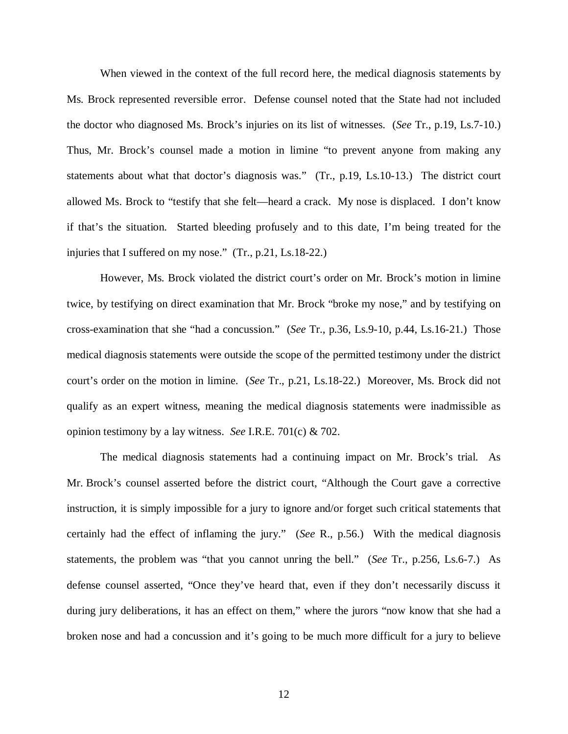When viewed in the context of the full record here, the medical diagnosis statements by Ms. Brock represented reversible error. Defense counsel noted that the State had not included the doctor who diagnosed Ms. Brock's injuries on its list of witnesses. (*See* Tr., p.19, Ls.7-10.) Thus, Mr. Brock's counsel made a motion in limine "to prevent anyone from making any statements about what that doctor's diagnosis was." (Tr., p.19, Ls.10-13.) The district court allowed Ms. Brock to "testify that she felt—heard a crack. My nose is displaced. I don't know if that's the situation. Started bleeding profusely and to this date, I'm being treated for the injuries that I suffered on my nose." (Tr., p.21, Ls.18-22.)

However, Ms. Brock violated the district court's order on Mr. Brock's motion in limine twice, by testifying on direct examination that Mr. Brock "broke my nose," and by testifying on cross-examination that she "had a concussion." (*See* Tr., p.36, Ls.9-10, p.44, Ls.16-21.) Those medical diagnosis statements were outside the scope of the permitted testimony under the district court's order on the motion in limine. (*See* Tr., p.21, Ls.18-22.) Moreover, Ms. Brock did not qualify as an expert witness, meaning the medical diagnosis statements were inadmissible as opinion testimony by a lay witness. *See* I.R.E. 701(c) & 702.

The medical diagnosis statements had a continuing impact on Mr. Brock's trial. As Mr. Brock's counsel asserted before the district court, "Although the Court gave a corrective instruction, it is simply impossible for a jury to ignore and/or forget such critical statements that certainly had the effect of inflaming the jury." (*See* R., p.56.) With the medical diagnosis statements, the problem was "that you cannot unring the bell." (*See* Tr., p.256, Ls.6-7.) As defense counsel asserted, "Once they've heard that, even if they don't necessarily discuss it during jury deliberations, it has an effect on them," where the jurors "now know that she had a broken nose and had a concussion and it's going to be much more difficult for a jury to believe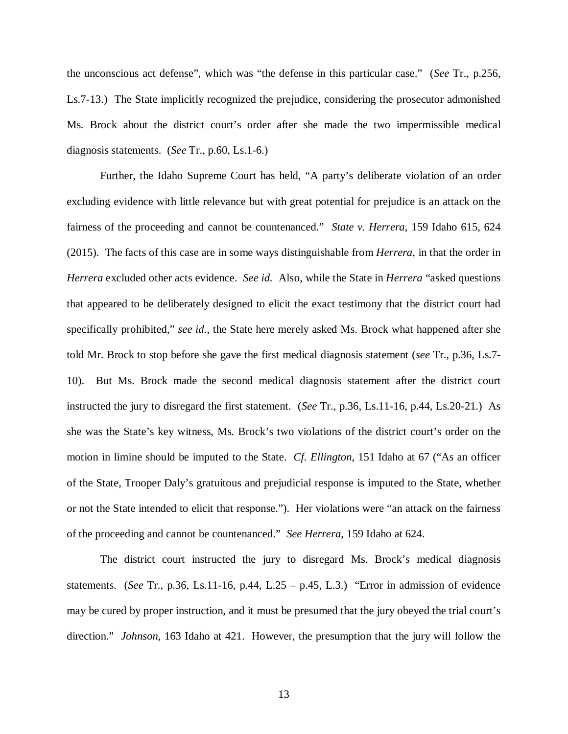the unconscious act defense", which was "the defense in this particular case." (*See* Tr., p.256, Ls.7-13.) The State implicitly recognized the prejudice, considering the prosecutor admonished Ms. Brock about the district court's order after she made the two impermissible medical diagnosis statements. (*See* Tr., p.60, Ls.1-6.)

Further, the Idaho Supreme Court has held, "A party's deliberate violation of an order excluding evidence with little relevance but with great potential for prejudice is an attack on the fairness of the proceeding and cannot be countenanced." *State v. Herrera*, 159 Idaho 615, 624 (2015). The facts of this case are in some ways distinguishable from *Herrera*, in that the order in *Herrera* excluded other acts evidence. *See id.* Also, while the State in *Herrera* "asked questions that appeared to be deliberately designed to elicit the exact testimony that the district court had specifically prohibited," *see id*., the State here merely asked Ms. Brock what happened after she told Mr. Brock to stop before she gave the first medical diagnosis statement (*see* Tr., p.36, Ls.7- 10). But Ms. Brock made the second medical diagnosis statement after the district court instructed the jury to disregard the first statement. (*See* Tr., p.36, Ls.11-16, p.44, Ls.20-21.) As she was the State's key witness, Ms. Brock's two violations of the district court's order on the motion in limine should be imputed to the State. *Cf. Ellington*, 151 Idaho at 67 ("As an officer of the State, Trooper Daly's gratuitous and prejudicial response is imputed to the State, whether or not the State intended to elicit that response."). Her violations were "an attack on the fairness of the proceeding and cannot be countenanced." *See Herrera*, 159 Idaho at 624.

The district court instructed the jury to disregard Ms. Brock's medical diagnosis statements. (*See* Tr., p.36, Ls.11-16, p.44, L.25 – p.45, L.3.) "Error in admission of evidence may be cured by proper instruction, and it must be presumed that the jury obeyed the trial court's direction." *Johnson*, 163 Idaho at 421. However, the presumption that the jury will follow the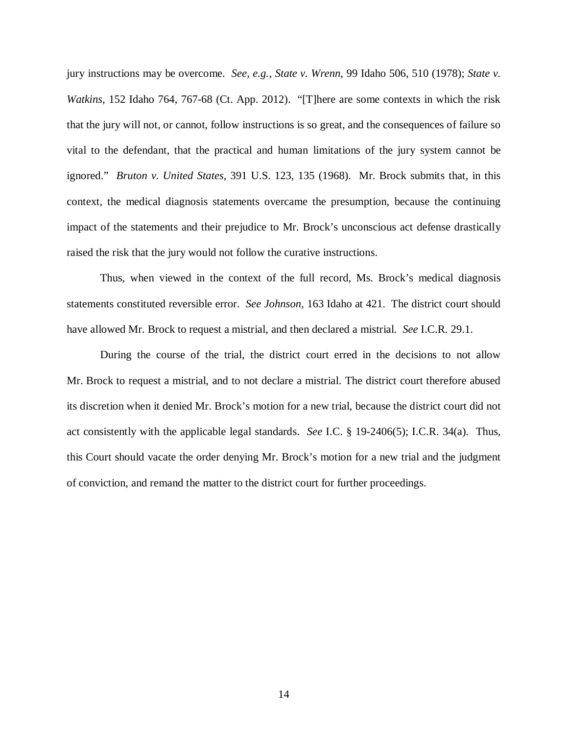jury instructions may be overcome. *See, e.g.*, *State v. Wrenn*, 99 Idaho 506, 510 (1978); *State v. Watkins*, 152 Idaho 764, 767-68 (Ct. App. 2012). "[T]here are some contexts in which the risk that the jury will not, or cannot, follow instructions is so great, and the consequences of failure so vital to the defendant, that the practical and human limitations of the jury system cannot be ignored." *Bruton v. United States*, 391 U.S. 123, 135 (1968). Mr. Brock submits that, in this context, the medical diagnosis statements overcame the presumption, because the continuing impact of the statements and their prejudice to Mr. Brock's unconscious act defense drastically raised the risk that the jury would not follow the curative instructions.

Thus, when viewed in the context of the full record, Ms. Brock's medical diagnosis statements constituted reversible error. *See Johnson*, 163 Idaho at 421. The district court should have allowed Mr. Brock to request a mistrial, and then declared a mistrial. *See* I.C.R. 29.1.

During the course of the trial, the district court erred in the decisions to not allow Mr. Brock to request a mistrial, and to not declare a mistrial. The district court therefore abused its discretion when it denied Mr. Brock's motion for a new trial, because the district court did not act consistently with the applicable legal standards. *See* I.C. § 19-2406(5); I.C.R. 34(a). Thus, this Court should vacate the order denying Mr. Brock's motion for a new trial and the judgment of conviction, and remand the matter to the district court for further proceedings.